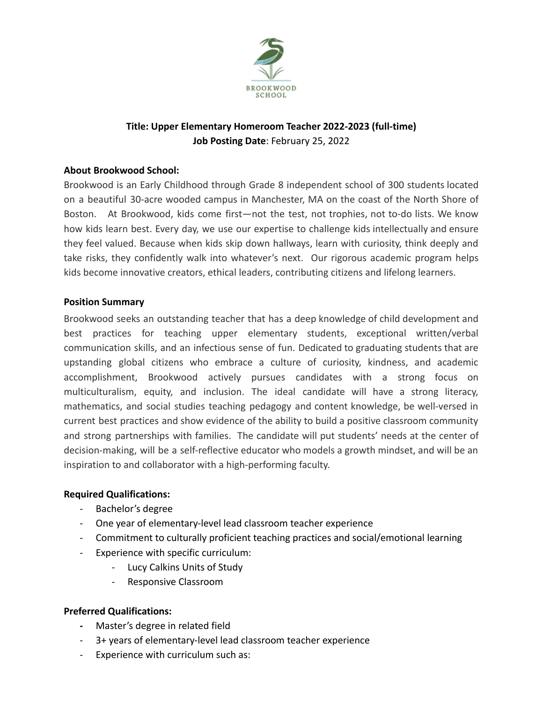

# **Title: Upper Elementary Homeroom Teacher 2022-2023 (full-time) Job Posting Date**: February 25, 2022

# **About Brookwood School:**

Brookwood is an Early Childhood through Grade 8 independent school of 300 students located on a beautiful 30-acre wooded campus in Manchester, MA on the coast of the North Shore of Boston. At Brookwood, kids come first—not the test, not trophies, not to-do lists. We know how kids learn best. Every day, we use our expertise to challenge kids intellectually and ensure they feel valued. Because when kids skip down hallways, learn with curiosity, think deeply and take risks, they confidently walk into whatever's next. Our rigorous [academic](https://brookwood.edu/discover/academics/) program helps kids become innovative creators, ethical leaders, contributing citizens and lifelong learners.

#### **Position Summary**

Brookwood seeks an outstanding teacher that has a deep knowledge of child development and best practices for teaching upper elementary students, exceptional written/verbal communication skills, and an infectious sense of fun. Dedicated to graduating students that are upstanding global citizens who embrace a culture of curiosity, kindness, and academic accomplishment, Brookwood actively pursues candidates with a strong focus on multiculturalism, equity, and inclusion. The ideal candidate will have a strong literacy, mathematics, and social studies teaching pedagogy and content knowledge, be well-versed in current best practices and show evidence of the ability to build a positive classroom community and strong partnerships with families. The candidate will put students' needs at the center of decision-making, will be a self-reflective educator who models a growth mindset, and will be an inspiration to and collaborator with a high-performing faculty.

#### **Required Qualifications:**

- Bachelor's degree
- One year of elementary-level lead classroom teacher experience
- Commitment to culturally proficient teaching practices and social/emotional learning
- Experience with specific curriculum:
	- Lucy Calkins Units of Study
	- Responsive Classroom

# **Preferred Qualifications:**

- **-** Master's degree in related field
- 3+ years of elementary-level lead classroom teacher experience
- Experience with curriculum such as: